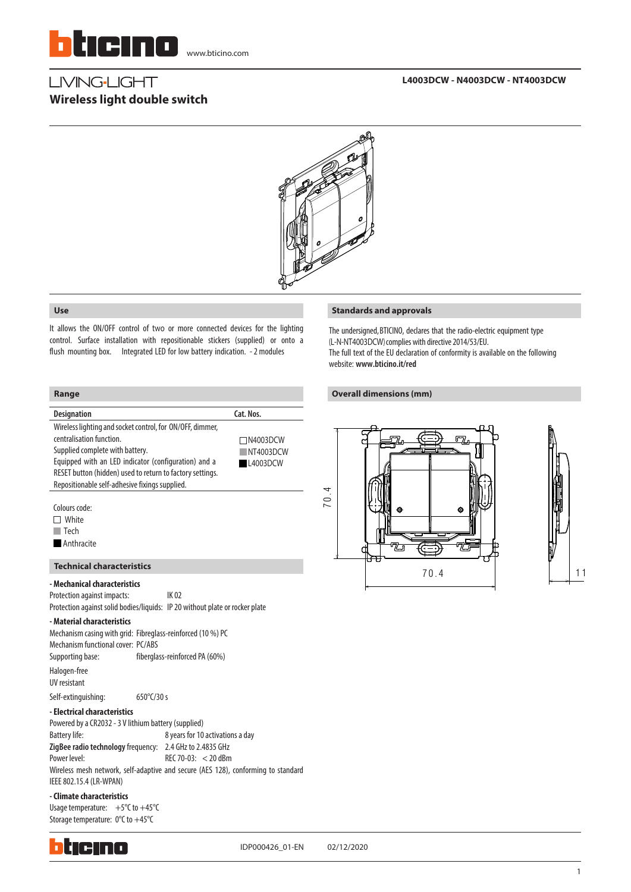

# LIVING-LIGHT **Wireless light double switch**

#### **L4003DCW - N4003DCW - NT4003DCW**



#### **Use**

It allows the ON/OFF control of two or more connected devices for the lighting control. Surface installation with repositionable stickers (supplied) or onto a flush mounting box. Integrated LED for low battery indication. - 2 modules

### **Range**

| <b>Designation</b>                                        | Cat. Nos.       |
|-----------------------------------------------------------|-----------------|
| Wireless lighting and socket control, for ON/OFF, dimmer, |                 |
| centralisation function.                                  | $\Box$ N4003DCW |
| Supplied complete with battery.                           | NT4003DCW       |
| Equipped with an LED indicator (configuration) and a      | L4003DCW        |
| RESET button (hidden) used to return to factory settings. |                 |
| Repositionable self-adhesive fixings supplied.            |                 |
|                                                           |                 |

Colours code:

- □ White
- $\blacksquare$  Tech
- **Anthracite**

#### **Technical characteristics**

#### **- Mechanical characteristics**

Protection against impacts: IK 02 Protection against solid bodies/liquids: IP 20 without plate or rocker plate

#### **- Material characteristics**

Mechanism casing with grid: Fibreglass-reinforced (10 %) PC Mechanism functional cover: PC/ABS Supporting base: fiberglass-reinforced PA (60%)

Halogen-free UV resistant

Self-extinguishing: 650°C/30 s

#### **- Electrical characteristics**

| Powered by a CR2032 - 3 V lithium battery (supplied)     |                                                                                   |
|----------------------------------------------------------|-----------------------------------------------------------------------------------|
| Battery life:                                            | 8 years for 10 activations a day                                                  |
| ZigBee radio technology frequency: 2.4 GHz to 2.4835 GHz |                                                                                   |
| Power level:                                             | REC 70-03: $<$ 20 dBm                                                             |
|                                                          | Wireless mesh network, self-adaptive and secure (AES 128), conforming to standard |
| IEEE 802.15.4 (LR-WPAN)                                  |                                                                                   |

#### **- Climate characteristics**

Usage temperature:  $+5^{\circ}$ C to  $+45^{\circ}$ C Storage temperature: 0°C to +45°C



# **Standards and approvals**

The undersigned, BTICINO, declares that the radio-electric equipment type (L-N-NT4003DCW)complies with directive 2014/53/EU. The full text of the EU declaration of conformity is available on the following website: **www.bticino.it/red**

## **Overall dimensions (mm)**